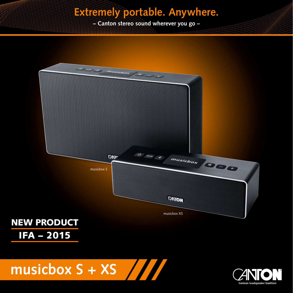# **Extremely portable. Anywhere.**

**– Canton stereo sound wherever you go –**





**musicbox S + XS**